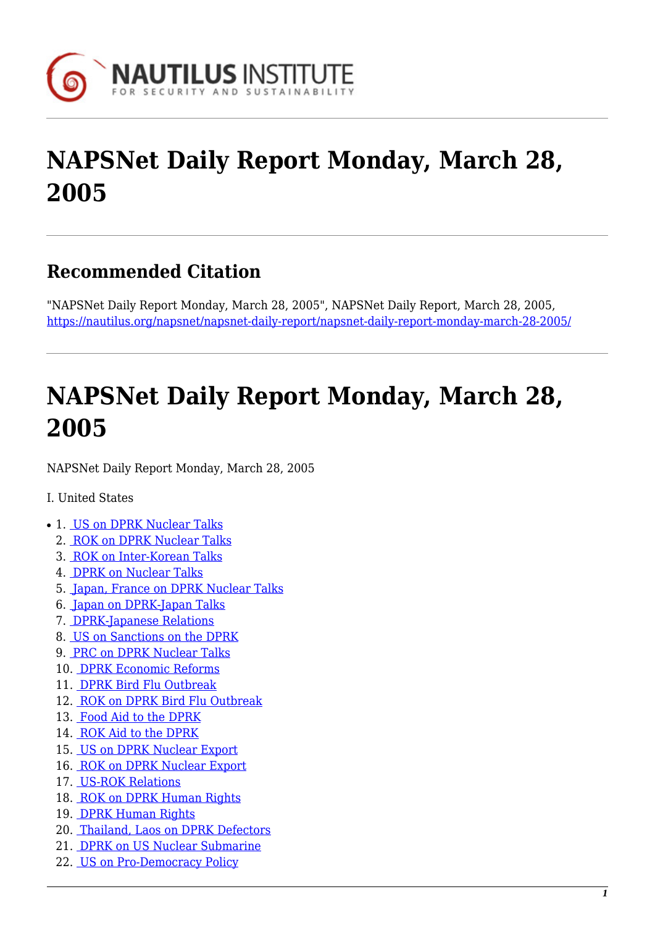

# **NAPSNet Daily Report Monday, March 28, 2005**

### **Recommended Citation**

"NAPSNet Daily Report Monday, March 28, 2005", NAPSNet Daily Report, March 28, 2005, <https://nautilus.org/napsnet/napsnet-daily-report/napsnet-daily-report-monday-march-28-2005/>

# **NAPSNet Daily Report Monday, March 28, 2005**

<span id="page-0-0"></span>NAPSNet Daily Report Monday, March 28, 2005

#### I. United States

- 1. [US on DPRK Nuclear Talks](#page-1-0)
	- 2. [ROK on DPRK Nuclear Talks](#page-1-1)
	- 3. [ROK on Inter-Korean Talks](#page-2-0)
	- 4. [DPRK on Nuclear Talks](#page-2-1)
	- 5. [Japan, France on DPRK Nuclear Talks](#page-2-2)
	- 6. [Japan on DPRK-Japan Talks](#page-2-3)
	- 7. [DPRK-Japanese Relations](#page-2-4)
	- 8. [US on Sanctions on the DPRK](#page-3-0)
	- 9. [PRC on DPRK Nuclear Talks](#page-3-1)
	- 10. [DPRK Economic Reforms](#page-3-2)
	- 11. [DPRK Bird Flu Outbreak](#page-3-3)
	- 12. [ROK on DPRK Bird Flu Outbreak](#page-4-0)
	- 13. [Food Aid to the DPRK](#page-4-1)
	- 14. [ROK Aid to the DPRK](#page-4-2)
	- 15. [US on DPRK Nuclear Export](#page-4-3)
	- 16. [ROK on DPRK Nuclear Export](#page-5-0)
	- 17. [US-ROK Relations](#page-5-1)
	- 18. [ROK on DPRK Human Rights](#page-5-2)
	- 19. [DPRK Human Rights](#page-5-3)
	- 20. [Thailand, Laos on DPRK Defectors](#page-5-4)
	- 21. [DPRK on US Nuclear Submarine](#page-6-0)
	- 22. [US on Pro-Democracy Policy](#page-6-1)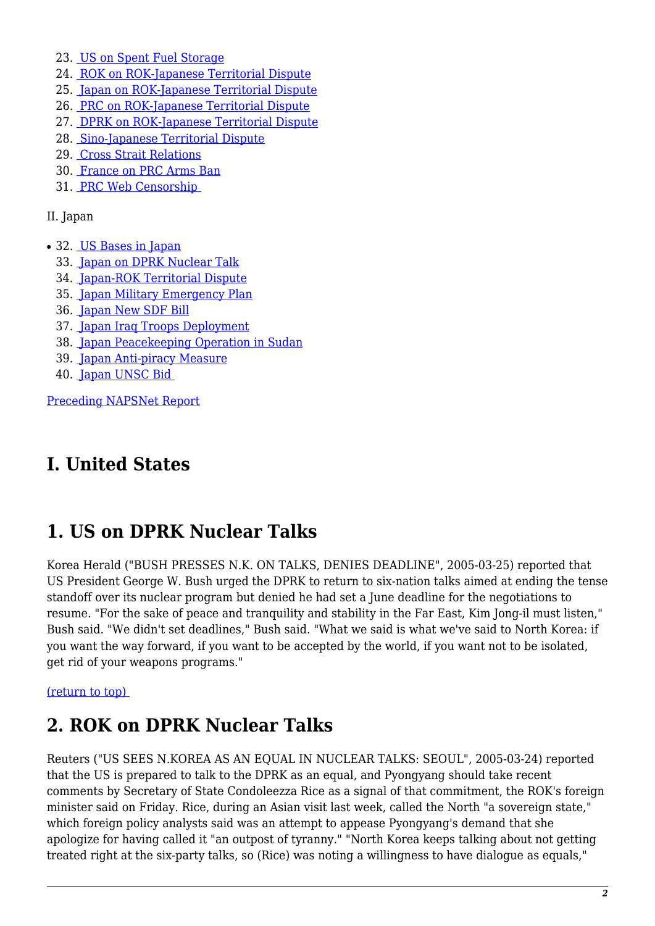- 23. [US on Spent Fuel Storage](#page-6-2)
- 24. [ROK on ROK-Japanese Territorial Dispute](#page-6-3)
- 25. [Japan on ROK-Japanese Territorial Dispute](#page-7-0)
- 26. [PRC on ROK-Japanese Territorial Dispute](#page-7-1)
- 27. [DPRK on ROK-Japanese Territorial Dispute](#page-7-2)
- 28. [Sino-Japanese Territorial Dispute](#page-7-3)
- 29. [Cross Strait Relations](#page-8-0)
- 30. [France on PRC Arms Ban](#page-8-1)
- 31. [PRC Web Censorship](#page-8-2)

II. Japan

- 32. [US Bases in Japan](#page-9-0)
	- 33. [Japan on DPRK Nuclear Talk](#page-9-1)
	- 34. [Japan-ROK Territorial Dispute](#page-10-0)
	- 35. [Japan Military Emergency Plan](#page-10-1)
	- 36. [Japan New SDF Bill](#page-10-2)
	- 37. [Japan Iraq Troops Deployment](#page-10-3)
	- 38. [Japan Peacekeeping Operation in Sudan](#page-10-4)
	- 39. [Japan Anti-piracy Measure](#page-11-0)
	- 40. [Japan UNSC Bid](#page-11-1)

[Preceding NAPSNet Report](https://nautilus.org/mailing-lists/napsnet/dr/2005-2/napsnet-daily-report-thursday-march-24-2005/)

# **I. United States**

### <span id="page-1-0"></span>**1. US on DPRK Nuclear Talks**

Korea Herald ("BUSH PRESSES N.K. ON TALKS, DENIES DEADLINE", 2005-03-25) reported that US President George W. Bush urged the DPRK to return to six-nation talks aimed at ending the tense standoff over its nuclear program but denied he had set a June deadline for the negotiations to resume. "For the sake of peace and tranquility and stability in the Far East, Kim Jong-il must listen," Bush said. "We didn't set deadlines," Bush said. "What we said is what we've said to North Korea: if you want the way forward, if you want to be accepted by the world, if you want not to be isolated, get rid of your weapons programs."

#### <span id="page-1-1"></span>[\(return to top\)](#page-0-0)

### **2. ROK on DPRK Nuclear Talks**

Reuters ("US SEES N.KOREA AS AN EQUAL IN NUCLEAR TALKS: SEOUL", 2005-03-24) reported that the US is prepared to talk to the DPRK as an equal, and Pyongyang should take recent comments by Secretary of State Condoleezza Rice as a signal of that commitment, the ROK's foreign minister said on Friday. Rice, during an Asian visit last week, called the North "a sovereign state," which foreign policy analysts said was an attempt to appease Pyongyang's demand that she apologize for having called it "an outpost of tyranny." "North Korea keeps talking about not getting treated right at the six-party talks, so (Rice) was noting a willingness to have dialogue as equals,"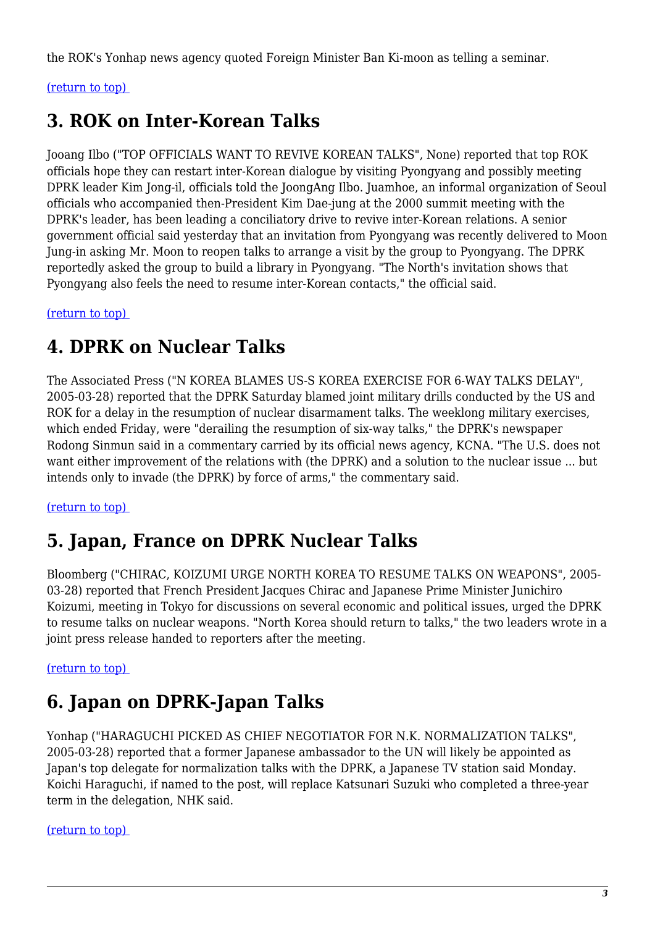the ROK's Yonhap news agency quoted Foreign Minister Ban Ki-moon as telling a seminar.

#### <span id="page-2-0"></span>[\(return to top\)](#page-0-0)

### **3. ROK on Inter-Korean Talks**

Jooang Ilbo ("TOP OFFICIALS WANT TO REVIVE KOREAN TALKS", None) reported that top ROK officials hope they can restart inter-Korean dialogue by visiting Pyongyang and possibly meeting DPRK leader Kim Jong-il, officials told the JoongAng Ilbo. Juamhoe, an informal organization of Seoul officials who accompanied then-President Kim Dae-jung at the 2000 summit meeting with the DPRK's leader, has been leading a conciliatory drive to revive inter-Korean relations. A senior government official said yesterday that an invitation from Pyongyang was recently delivered to Moon Jung-in asking Mr. Moon to reopen talks to arrange a visit by the group to Pyongyang. The DPRK reportedly asked the group to build a library in Pyongyang. "The North's invitation shows that Pyongyang also feels the need to resume inter-Korean contacts," the official said.

<span id="page-2-1"></span>[\(return to top\)](#page-0-0) 

### **4. DPRK on Nuclear Talks**

The Associated Press ("N KOREA BLAMES US-S KOREA EXERCISE FOR 6-WAY TALKS DELAY", 2005-03-28) reported that the DPRK Saturday blamed joint military drills conducted by the US and ROK for a delay in the resumption of nuclear disarmament talks. The weeklong military exercises, which ended Friday, were "derailing the resumption of six-way talks," the DPRK's newspaper Rodong Sinmun said in a commentary carried by its official news agency, KCNA. "The U.S. does not want either improvement of the relations with (the DPRK) and a solution to the nuclear issue ... but intends only to invade (the DPRK) by force of arms," the commentary said.

#### <span id="page-2-2"></span>[\(return to top\)](#page-0-0)

### **5. Japan, France on DPRK Nuclear Talks**

Bloomberg ("CHIRAC, KOIZUMI URGE NORTH KOREA TO RESUME TALKS ON WEAPONS", 2005- 03-28) reported that French President Jacques Chirac and Japanese Prime Minister Junichiro Koizumi, meeting in Tokyo for discussions on several economic and political issues, urged the DPRK to resume talks on nuclear weapons. "North Korea should return to talks," the two leaders wrote in a joint press release handed to reporters after the meeting.

#### <span id="page-2-3"></span>[\(return to top\)](#page-0-0)

### **6. Japan on DPRK-Japan Talks**

Yonhap ("HARAGUCHI PICKED AS CHIEF NEGOTIATOR FOR N.K. NORMALIZATION TALKS", 2005-03-28) reported that a former Japanese ambassador to the UN will likely be appointed as Japan's top delegate for normalization talks with the DPRK, a Japanese TV station said Monday. Koichi Haraguchi, if named to the post, will replace Katsunari Suzuki who completed a three-year term in the delegation, NHK said.

<span id="page-2-4"></span>[\(return to top\)](#page-0-0)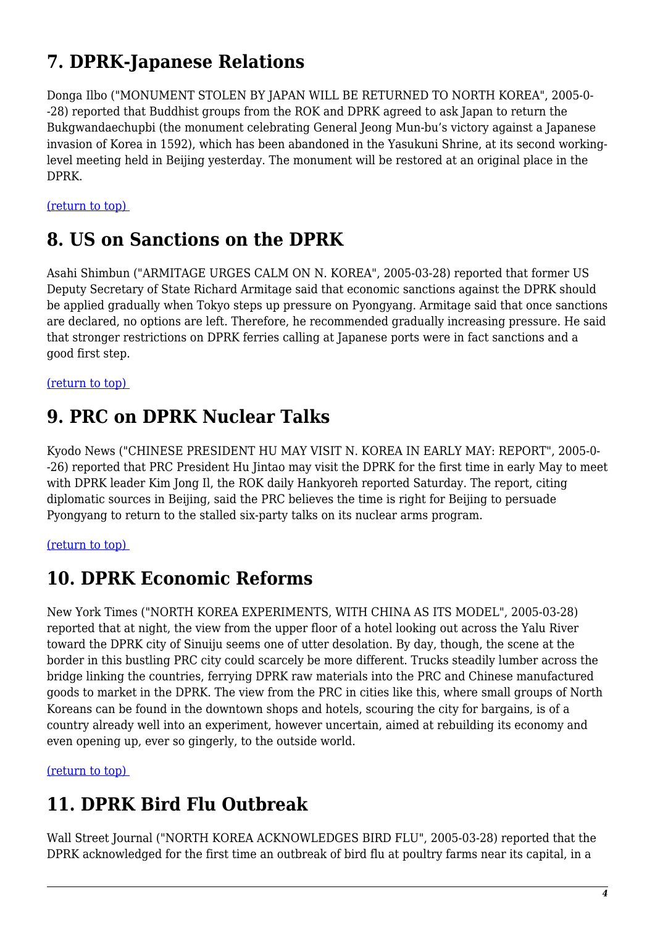# **7. DPRK-Japanese Relations**

Donga Ilbo ("MONUMENT STOLEN BY JAPAN WILL BE RETURNED TO NORTH KOREA", 2005-0- -28) reported that Buddhist groups from the ROK and DPRK agreed to ask Japan to return the Bukgwandaechupbi (the monument celebrating General Jeong Mun-bu's victory against a Japanese invasion of Korea in 1592), which has been abandoned in the Yasukuni Shrine, at its second workinglevel meeting held in Beijing yesterday. The monument will be restored at an original place in the DPRK.

<span id="page-3-0"></span>[\(return to top\)](#page-0-0) 

#### **8. US on Sanctions on the DPRK**

Asahi Shimbun ("ARMITAGE URGES CALM ON N. KOREA", 2005-03-28) reported that former US Deputy Secretary of State Richard Armitage said that economic sanctions against the DPRK should be applied gradually when Tokyo steps up pressure on Pyongyang. Armitage said that once sanctions are declared, no options are left. Therefore, he recommended gradually increasing pressure. He said that stronger restrictions on DPRK ferries calling at Japanese ports were in fact sanctions and a good first step.

<span id="page-3-1"></span>[\(return to top\)](#page-0-0) 

#### **9. PRC on DPRK Nuclear Talks**

Kyodo News ("CHINESE PRESIDENT HU MAY VISIT N. KOREA IN EARLY MAY: REPORT", 2005-0- -26) reported that PRC President Hu Jintao may visit the DPRK for the first time in early May to meet with DPRK leader Kim Jong Il, the ROK daily Hankyoreh reported Saturday. The report, citing diplomatic sources in Beijing, said the PRC believes the time is right for Beijing to persuade Pyongyang to return to the stalled six-party talks on its nuclear arms program.

#### <span id="page-3-2"></span>[\(return to top\)](#page-0-0)

#### **10. DPRK Economic Reforms**

New York Times ("NORTH KOREA EXPERIMENTS, WITH CHINA AS ITS MODEL", 2005-03-28) reported that at night, the view from the upper floor of a hotel looking out across the Yalu River toward the DPRK city of Sinuiju seems one of utter desolation. By day, though, the scene at the border in this bustling PRC city could scarcely be more different. Trucks steadily lumber across the bridge linking the countries, ferrying DPRK raw materials into the PRC and Chinese manufactured goods to market in the DPRK. The view from the PRC in cities like this, where small groups of North Koreans can be found in the downtown shops and hotels, scouring the city for bargains, is of a country already well into an experiment, however uncertain, aimed at rebuilding its economy and even opening up, ever so gingerly, to the outside world.

<span id="page-3-3"></span>[\(return to top\)](#page-0-0) 

# **11. DPRK Bird Flu Outbreak**

Wall Street Journal ("NORTH KOREA ACKNOWLEDGES BIRD FLU", 2005-03-28) reported that the DPRK acknowledged for the first time an outbreak of bird flu at poultry farms near its capital, in a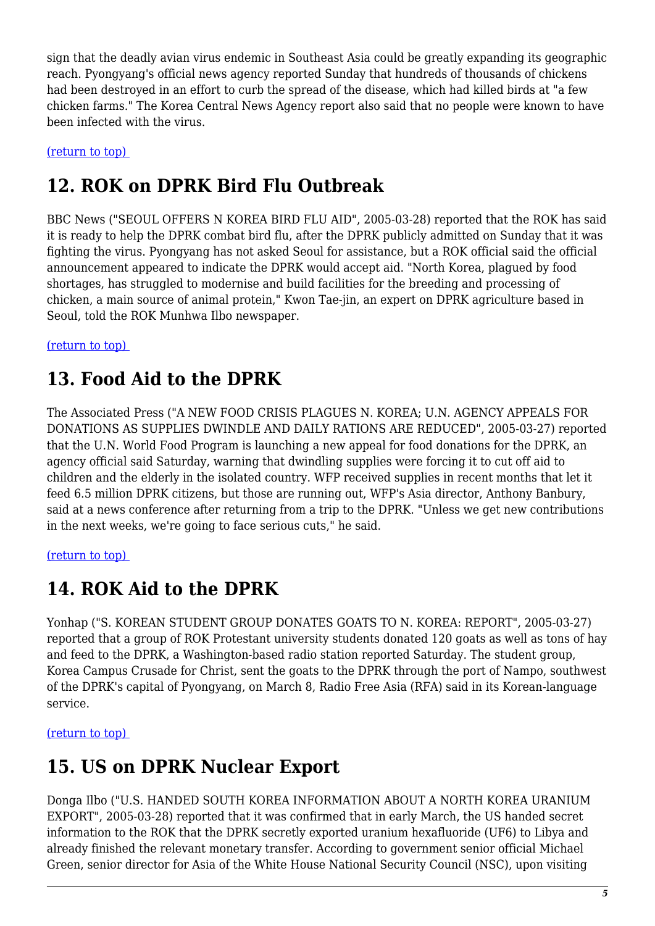sign that the deadly avian virus endemic in Southeast Asia could be greatly expanding its geographic reach. Pyongyang's official news agency reported Sunday that hundreds of thousands of chickens had been destroyed in an effort to curb the spread of the disease, which had killed birds at "a few chicken farms." The Korea Central News Agency report also said that no people were known to have been infected with the virus.

#### <span id="page-4-0"></span>[\(return to top\)](#page-0-0)

#### **12. ROK on DPRK Bird Flu Outbreak**

BBC News ("SEOUL OFFERS N KOREA BIRD FLU AID", 2005-03-28) reported that the ROK has said it is ready to help the DPRK combat bird flu, after the DPRK publicly admitted on Sunday that it was fighting the virus. Pyongyang has not asked Seoul for assistance, but a ROK official said the official announcement appeared to indicate the DPRK would accept aid. "North Korea, plagued by food shortages, has struggled to modernise and build facilities for the breeding and processing of chicken, a main source of animal protein," Kwon Tae-jin, an expert on DPRK agriculture based in Seoul, told the ROK Munhwa Ilbo newspaper.

#### <span id="page-4-1"></span>[\(return to top\)](#page-0-0)

### **13. Food Aid to the DPRK**

The Associated Press ("A NEW FOOD CRISIS PLAGUES N. KOREA; U.N. AGENCY APPEALS FOR DONATIONS AS SUPPLIES DWINDLE AND DAILY RATIONS ARE REDUCED", 2005-03-27) reported that the U.N. World Food Program is launching a new appeal for food donations for the DPRK, an agency official said Saturday, warning that dwindling supplies were forcing it to cut off aid to children and the elderly in the isolated country. WFP received supplies in recent months that let it feed 6.5 million DPRK citizens, but those are running out, WFP's Asia director, Anthony Banbury, said at a news conference after returning from a trip to the DPRK. "Unless we get new contributions in the next weeks, we're going to face serious cuts," he said.

#### <span id="page-4-2"></span>[\(return to top\)](#page-0-0)

#### **14. ROK Aid to the DPRK**

Yonhap ("S. KOREAN STUDENT GROUP DONATES GOATS TO N. KOREA: REPORT", 2005-03-27) reported that a group of ROK Protestant university students donated 120 goats as well as tons of hay and feed to the DPRK, a Washington-based radio station reported Saturday. The student group, Korea Campus Crusade for Christ, sent the goats to the DPRK through the port of Nampo, southwest of the DPRK's capital of Pyongyang, on March 8, Radio Free Asia (RFA) said in its Korean-language service.

#### <span id="page-4-3"></span>[\(return to top\)](#page-0-0)

#### **15. US on DPRK Nuclear Export**

Donga Ilbo ("U.S. HANDED SOUTH KOREA INFORMATION ABOUT A NORTH KOREA URANIUM EXPORT", 2005-03-28) reported that it was confirmed that in early March, the US handed secret information to the ROK that the DPRK secretly exported uranium hexafluoride (UF6) to Libya and already finished the relevant monetary transfer. According to government senior official Michael Green, senior director for Asia of the White House National Security Council (NSC), upon visiting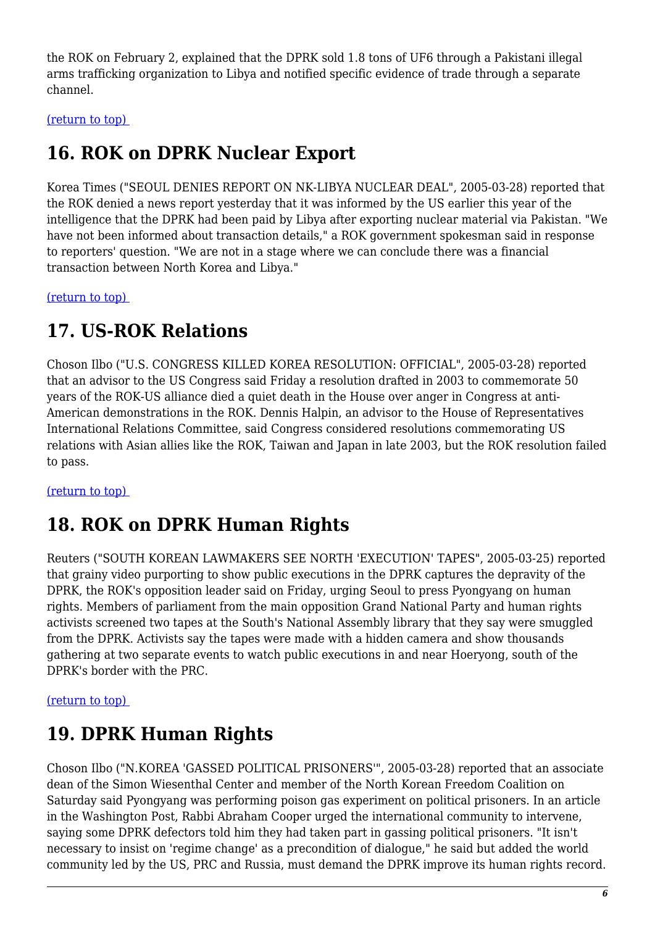the ROK on February 2, explained that the DPRK sold 1.8 tons of UF6 through a Pakistani illegal arms trafficking organization to Libya and notified specific evidence of trade through a separate channel.

<span id="page-5-0"></span>[\(return to top\)](#page-0-0) 

# **16. ROK on DPRK Nuclear Export**

Korea Times ("SEOUL DENIES REPORT ON NK-LIBYA NUCLEAR DEAL", 2005-03-28) reported that the ROK denied a news report yesterday that it was informed by the US earlier this year of the intelligence that the DPRK had been paid by Libya after exporting nuclear material via Pakistan. "We have not been informed about transaction details," a ROK government spokesman said in response to reporters' question. "We are not in a stage where we can conclude there was a financial transaction between North Korea and Libya."

<span id="page-5-1"></span>[\(return to top\)](#page-0-0) 

### **17. US-ROK Relations**

Choson Ilbo ("U.S. CONGRESS KILLED KOREA RESOLUTION: OFFICIAL", 2005-03-28) reported that an advisor to the US Congress said Friday a resolution drafted in 2003 to commemorate 50 years of the ROK-US alliance died a quiet death in the House over anger in Congress at anti-American demonstrations in the ROK. Dennis Halpin, an advisor to the House of Representatives International Relations Committee, said Congress considered resolutions commemorating US relations with Asian allies like the ROK, Taiwan and Japan in late 2003, but the ROK resolution failed to pass.

<span id="page-5-2"></span>[\(return to top\)](#page-0-0) 

# **18. ROK on DPRK Human Rights**

Reuters ("SOUTH KOREAN LAWMAKERS SEE NORTH 'EXECUTION' TAPES", 2005-03-25) reported that grainy video purporting to show public executions in the DPRK captures the depravity of the DPRK, the ROK's opposition leader said on Friday, urging Seoul to press Pyongyang on human rights. Members of parliament from the main opposition Grand National Party and human rights activists screened two tapes at the South's National Assembly library that they say were smuggled from the DPRK. Activists say the tapes were made with a hidden camera and show thousands gathering at two separate events to watch public executions in and near Hoeryong, south of the DPRK's border with the PRC.

#### <span id="page-5-3"></span>[\(return to top\)](#page-0-0)

# **19. DPRK Human Rights**

<span id="page-5-4"></span>Choson Ilbo ("N.KOREA 'GASSED POLITICAL PRISONERS'", 2005-03-28) reported that an associate dean of the Simon Wiesenthal Center and member of the North Korean Freedom Coalition on Saturday said Pyongyang was performing poison gas experiment on political prisoners. In an article in the Washington Post, Rabbi Abraham Cooper urged the international community to intervene, saying some DPRK defectors told him they had taken part in gassing political prisoners. "It isn't necessary to insist on 'regime change' as a precondition of dialogue," he said but added the world community led by the US, PRC and Russia, must demand the DPRK improve its human rights record.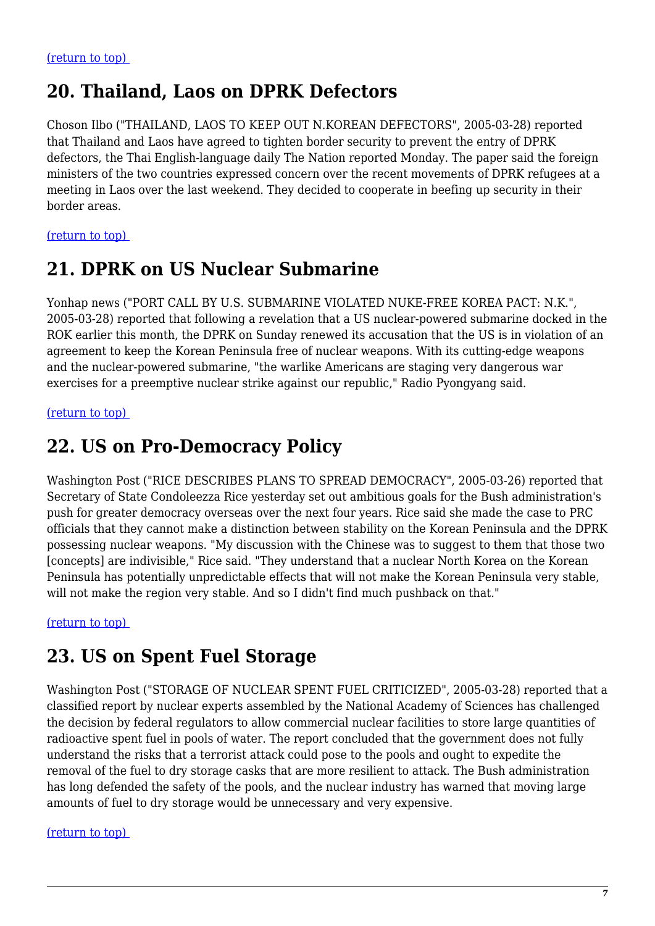### **20. Thailand, Laos on DPRK Defectors**

Choson Ilbo ("THAILAND, LAOS TO KEEP OUT N.KOREAN DEFECTORS", 2005-03-28) reported that Thailand and Laos have agreed to tighten border security to prevent the entry of DPRK defectors, the Thai English-language daily The Nation reported Monday. The paper said the foreign ministers of the two countries expressed concern over the recent movements of DPRK refugees at a meeting in Laos over the last weekend. They decided to cooperate in beefing up security in their border areas.

#### <span id="page-6-0"></span>[\(return to top\)](#page-0-0)

### **21. DPRK on US Nuclear Submarine**

Yonhap news ("PORT CALL BY U.S. SUBMARINE VIOLATED NUKE-FREE KOREA PACT: N.K.", 2005-03-28) reported that following a revelation that a US nuclear-powered submarine docked in the ROK earlier this month, the DPRK on Sunday renewed its accusation that the US is in violation of an agreement to keep the Korean Peninsula free of nuclear weapons. With its cutting-edge weapons and the nuclear-powered submarine, "the warlike Americans are staging very dangerous war exercises for a preemptive nuclear strike against our republic," Radio Pyongyang said.

#### <span id="page-6-1"></span>[\(return to top\)](#page-0-0)

### **22. US on Pro-Democracy Policy**

Washington Post ("RICE DESCRIBES PLANS TO SPREAD DEMOCRACY", 2005-03-26) reported that Secretary of State Condoleezza Rice yesterday set out ambitious goals for the Bush administration's push for greater democracy overseas over the next four years. Rice said she made the case to PRC officials that they cannot make a distinction between stability on the Korean Peninsula and the DPRK possessing nuclear weapons. "My discussion with the Chinese was to suggest to them that those two [concepts] are indivisible," Rice said. "They understand that a nuclear North Korea on the Korean Peninsula has potentially unpredictable effects that will not make the Korean Peninsula very stable, will not make the region very stable. And so I didn't find much pushback on that."

<span id="page-6-2"></span>[\(return to top\)](#page-0-0) 

#### **23. US on Spent Fuel Storage**

Washington Post ("STORAGE OF NUCLEAR SPENT FUEL CRITICIZED", 2005-03-28) reported that a classified report by nuclear experts assembled by the National Academy of Sciences has challenged the decision by federal regulators to allow commercial nuclear facilities to store large quantities of radioactive spent fuel in pools of water. The report concluded that the government does not fully understand the risks that a terrorist attack could pose to the pools and ought to expedite the removal of the fuel to dry storage casks that are more resilient to attack. The Bush administration has long defended the safety of the pools, and the nuclear industry has warned that moving large amounts of fuel to dry storage would be unnecessary and very expensive.

#### <span id="page-6-3"></span>[\(return to top\)](#page-0-0)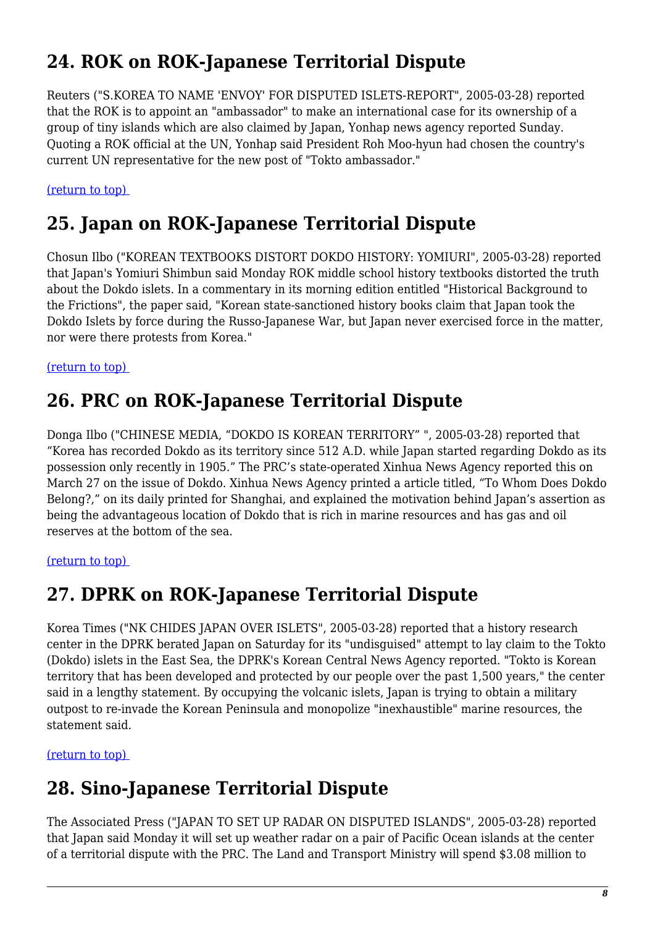# **24. ROK on ROK-Japanese Territorial Dispute**

Reuters ("S.KOREA TO NAME 'ENVOY' FOR DISPUTED ISLETS-REPORT", 2005-03-28) reported that the ROK is to appoint an "ambassador" to make an international case for its ownership of a group of tiny islands which are also claimed by Japan, Yonhap news agency reported Sunday. Quoting a ROK official at the UN, Yonhap said President Roh Moo-hyun had chosen the country's current UN representative for the new post of "Tokto ambassador."

#### <span id="page-7-0"></span>[\(return to top\)](#page-0-0)

#### **25. Japan on ROK-Japanese Territorial Dispute**

Chosun Ilbo ("KOREAN TEXTBOOKS DISTORT DOKDO HISTORY: YOMIURI", 2005-03-28) reported that Japan's Yomiuri Shimbun said Monday ROK middle school history textbooks distorted the truth about the Dokdo islets. In a commentary in its morning edition entitled "Historical Background to the Frictions", the paper said, "Korean state-sanctioned history books claim that Japan took the Dokdo Islets by force during the Russo-Japanese War, but Japan never exercised force in the matter, nor were there protests from Korea."

#### <span id="page-7-1"></span>[\(return to top\)](#page-0-0)

#### **26. PRC on ROK-Japanese Territorial Dispute**

Donga Ilbo ("CHINESE MEDIA, "DOKDO IS KOREAN TERRITORY" ", 2005-03-28) reported that "Korea has recorded Dokdo as its territory since 512 A.D. while Japan started regarding Dokdo as its possession only recently in 1905." The PRC's state-operated Xinhua News Agency reported this on March 27 on the issue of Dokdo. Xinhua News Agency printed a article titled, "To Whom Does Dokdo Belong?," on its daily printed for Shanghai, and explained the motivation behind Japan's assertion as being the advantageous location of Dokdo that is rich in marine resources and has gas and oil reserves at the bottom of the sea.

#### <span id="page-7-2"></span>[\(return to top\)](#page-0-0)

#### **27. DPRK on ROK-Japanese Territorial Dispute**

Korea Times ("NK CHIDES JAPAN OVER ISLETS", 2005-03-28) reported that a history research center in the DPRK berated Japan on Saturday for its "undisguised" attempt to lay claim to the Tokto (Dokdo) islets in the East Sea, the DPRK's Korean Central News Agency reported. "Tokto is Korean territory that has been developed and protected by our people over the past 1,500 years," the center said in a lengthy statement. By occupying the volcanic islets, Japan is trying to obtain a military outpost to re-invade the Korean Peninsula and monopolize "inexhaustible" marine resources, the statement said.

<span id="page-7-3"></span>[\(return to top\)](#page-0-0) 

#### **28. Sino-Japanese Territorial Dispute**

The Associated Press ("JAPAN TO SET UP RADAR ON DISPUTED ISLANDS", 2005-03-28) reported that Japan said Monday it will set up weather radar on a pair of Pacific Ocean islands at the center of a territorial dispute with the PRC. The Land and Transport Ministry will spend \$3.08 million to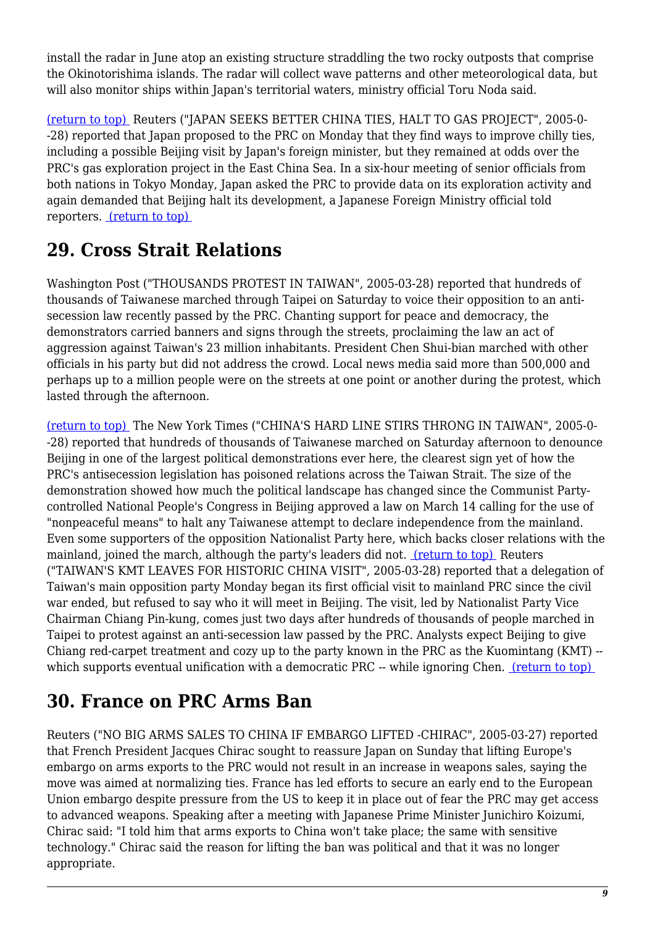install the radar in June atop an existing structure straddling the two rocky outposts that comprise the Okinotorishima islands. The radar will collect wave patterns and other meteorological data, but will also monitor ships within Japan's territorial waters, ministry official Toru Noda said.

[\(return to top\)](#page-0-0) Reuters ("JAPAN SEEKS BETTER CHINA TIES, HALT TO GAS PROJECT", 2005-0- -28) reported that Japan proposed to the PRC on Monday that they find ways to improve chilly ties, including a possible Beijing visit by Japan's foreign minister, but they remained at odds over the PRC's gas exploration project in the East China Sea. In a six-hour meeting of senior officials from both nations in Tokyo Monday, Japan asked the PRC to provide data on its exploration activity and again demanded that Beijing halt its development, a Japanese Foreign Ministry official told reporters. [\(return to top\)](#page-0-0) 

# <span id="page-8-0"></span>**29. Cross Strait Relations**

Washington Post ("THOUSANDS PROTEST IN TAIWAN", 2005-03-28) reported that hundreds of thousands of Taiwanese marched through Taipei on Saturday to voice their opposition to an antisecession law recently passed by the PRC. Chanting support for peace and democracy, the demonstrators carried banners and signs through the streets, proclaiming the law an act of aggression against Taiwan's 23 million inhabitants. President Chen Shui-bian marched with other officials in his party but did not address the crowd. Local news media said more than 500,000 and perhaps up to a million people were on the streets at one point or another during the protest, which lasted through the afternoon.

[\(return to top\)](#page-0-0) The New York Times ("CHINA'S HARD LINE STIRS THRONG IN TAIWAN", 2005-0- -28) reported that hundreds of thousands of Taiwanese marched on Saturday afternoon to denounce Beijing in one of the largest political demonstrations ever here, the clearest sign yet of how the PRC's antisecession legislation has poisoned relations across the Taiwan Strait. The size of the demonstration showed how much the political landscape has changed since the Communist Partycontrolled National People's Congress in Beijing approved a law on March 14 calling for the use of "nonpeaceful means" to halt any Taiwanese attempt to declare independence from the mainland. Even some supporters of the opposition Nationalist Party here, which backs closer relations with the mainland, joined the march, although the party's leaders did not. [\(return to top\)](#page-0-0) Reuters ("TAIWAN'S KMT LEAVES FOR HISTORIC CHINA VISIT", 2005-03-28) reported that a delegation of Taiwan's main opposition party Monday began its first official visit to mainland PRC since the civil war ended, but refused to say who it will meet in Beijing. The visit, led by Nationalist Party Vice Chairman Chiang Pin-kung, comes just two days after hundreds of thousands of people marched in Taipei to protest against an anti-secession law passed by the PRC. Analysts expect Beijing to give Chiang red-carpet treatment and cozy up to the party known in the PRC as the Kuomintang (KMT) - which supports eventual unification with a democratic PRC -- while ignoring Chen. (return to top)

# <span id="page-8-1"></span>**30. France on PRC Arms Ban**

<span id="page-8-2"></span>Reuters ("NO BIG ARMS SALES TO CHINA IF EMBARGO LIFTED -CHIRAC", 2005-03-27) reported that French President Jacques Chirac sought to reassure Japan on Sunday that lifting Europe's embargo on arms exports to the PRC would not result in an increase in weapons sales, saying the move was aimed at normalizing ties. France has led efforts to secure an early end to the European Union embargo despite pressure from the US to keep it in place out of fear the PRC may get access to advanced weapons. Speaking after a meeting with Japanese Prime Minister Junichiro Koizumi, Chirac said: "I told him that arms exports to China won't take place; the same with sensitive technology." Chirac said the reason for lifting the ban was political and that it was no longer appropriate.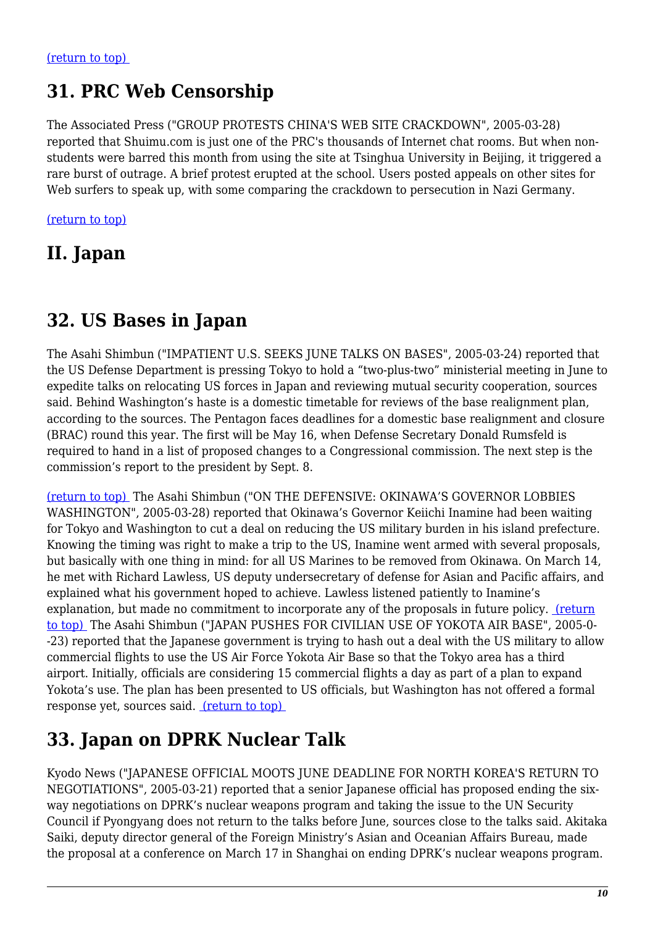#### **31. PRC Web Censorship**

The Associated Press ("GROUP PROTESTS CHINA'S WEB SITE CRACKDOWN", 2005-03-28) reported that Shuimu.com is just one of the PRC's thousands of Internet chat rooms. But when nonstudents were barred this month from using the site at Tsinghua University in Beijing, it triggered a rare burst of outrage. A brief protest erupted at the school. Users posted appeals on other sites for Web surfers to speak up, with some comparing the crackdown to persecution in Nazi Germany.

[\(return to top\)](#page-0-0)

#### **II. Japan**

### <span id="page-9-0"></span>**32. US Bases in Japan**

The Asahi Shimbun ("IMPATIENT U.S. SEEKS JUNE TALKS ON BASES", 2005-03-24) reported that the US Defense Department is pressing Tokyo to hold a "two-plus-two" ministerial meeting in June to expedite talks on relocating US forces in Japan and reviewing mutual security cooperation, sources said. Behind Washington's haste is a domestic timetable for reviews of the base realignment plan, according to the sources. The Pentagon faces deadlines for a domestic base realignment and closure (BRAC) round this year. The first will be May 16, when Defense Secretary Donald Rumsfeld is required to hand in a list of proposed changes to a Congressional commission. The next step is the commission's report to the president by Sept. 8.

[\(return to top\)](#page-0-0) The Asahi Shimbun ("ON THE DEFENSIVE: OKINAWA'S GOVERNOR LOBBIES WASHINGTON", 2005-03-28) reported that Okinawa's Governor Keiichi Inamine had been waiting for Tokyo and Washington to cut a deal on reducing the US military burden in his island prefecture. Knowing the timing was right to make a trip to the US, Inamine went armed with several proposals, but basically with one thing in mind: for all US Marines to be removed from Okinawa. On March 14, he met with Richard Lawless, US deputy undersecretary of defense for Asian and Pacific affairs, and explained what his government hoped to achieve. Lawless listened patiently to Inamine's explanation, but made no commitment to incorporate any of the proposals in future policy. [\(return](#page-0-0) [to top\)](#page-0-0) The Asahi Shimbun ("JAPAN PUSHES FOR CIVILIAN USE OF YOKOTA AIR BASE", 2005-0- -23) reported that the Japanese government is trying to hash out a deal with the US military to allow commercial flights to use the US Air Force Yokota Air Base so that the Tokyo area has a third airport. Initially, officials are considering 15 commercial flights a day as part of a plan to expand Yokota's use. The plan has been presented to US officials, but Washington has not offered a formal response yet, sources said. [\(return to top\)](#page-0-0) 

### <span id="page-9-1"></span>**33. Japan on DPRK Nuclear Talk**

Kyodo News ("JAPANESE OFFICIAL MOOTS JUNE DEADLINE FOR NORTH KOREA'S RETURN TO NEGOTIATIONS", 2005-03-21) reported that a senior Japanese official has proposed ending the sixway negotiations on DPRK's nuclear weapons program and taking the issue to the UN Security Council if Pyongyang does not return to the talks before June, sources close to the talks said. Akitaka Saiki, deputy director general of the Foreign Ministry's Asian and Oceanian Affairs Bureau, made the proposal at a conference on March 17 in Shanghai on ending DPRK's nuclear weapons program.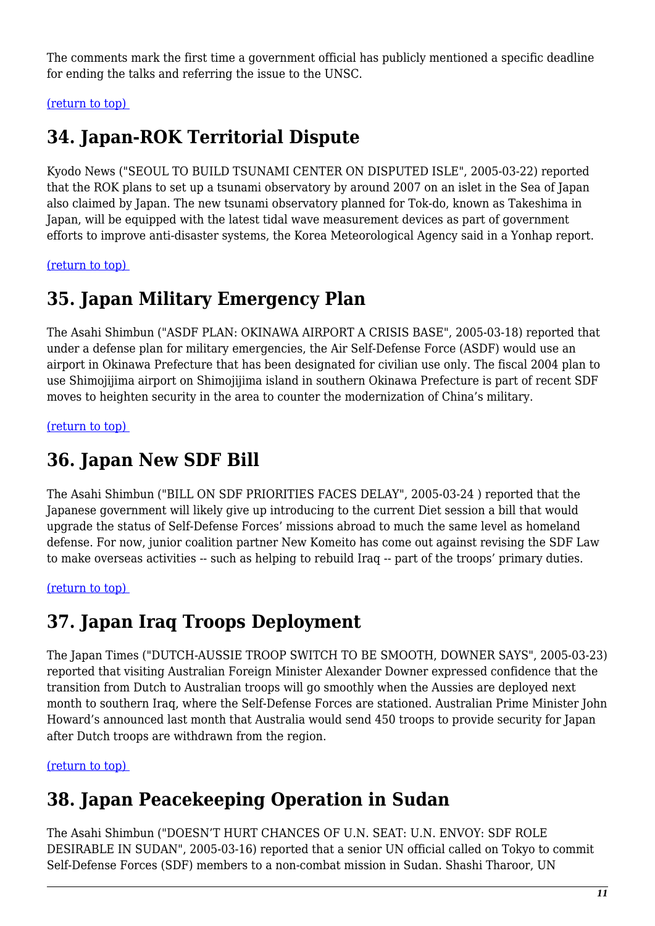The comments mark the first time a government official has publicly mentioned a specific deadline for ending the talks and referring the issue to the UNSC.

<span id="page-10-0"></span>[\(return to top\)](#page-0-0) 

# **34. Japan-ROK Territorial Dispute**

Kyodo News ("SEOUL TO BUILD TSUNAMI CENTER ON DISPUTED ISLE", 2005-03-22) reported that the ROK plans to set up a tsunami observatory by around 2007 on an islet in the Sea of Japan also claimed by Japan. The new tsunami observatory planned for Tok-do, known as Takeshima in Japan, will be equipped with the latest tidal wave measurement devices as part of government efforts to improve anti-disaster systems, the Korea Meteorological Agency said in a Yonhap report.

<span id="page-10-1"></span>[\(return to top\)](#page-0-0) 

#### **35. Japan Military Emergency Plan**

The Asahi Shimbun ("ASDF PLAN: OKINAWA AIRPORT A CRISIS BASE", 2005-03-18) reported that under a defense plan for military emergencies, the Air Self-Defense Force (ASDF) would use an airport in Okinawa Prefecture that has been designated for civilian use only. The fiscal 2004 plan to use Shimojijima airport on Shimojijima island in southern Okinawa Prefecture is part of recent SDF moves to heighten security in the area to counter the modernization of China's military.

<span id="page-10-2"></span>[\(return to top\)](#page-0-0) 

### **36. Japan New SDF Bill**

The Asahi Shimbun ("BILL ON SDF PRIORITIES FACES DELAY", 2005-03-24 ) reported that the Japanese government will likely give up introducing to the current Diet session a bill that would upgrade the status of Self-Defense Forces' missions abroad to much the same level as homeland defense. For now, junior coalition partner New Komeito has come out against revising the SDF Law to make overseas activities -- such as helping to rebuild Iraq -- part of the troops' primary duties.

<span id="page-10-3"></span>[\(return to top\)](#page-0-0) 

### **37. Japan Iraq Troops Deployment**

The Japan Times ("DUTCH-AUSSIE TROOP SWITCH TO BE SMOOTH, DOWNER SAYS", 2005-03-23) reported that visiting Australian Foreign Minister Alexander Downer expressed confidence that the transition from Dutch to Australian troops will go smoothly when the Aussies are deployed next month to southern Iraq, where the Self-Defense Forces are stationed. Australian Prime Minister John Howard's announced last month that Australia would send 450 troops to provide security for Japan after Dutch troops are withdrawn from the region.

<span id="page-10-4"></span>[\(return to top\)](#page-0-0) 

# **38. Japan Peacekeeping Operation in Sudan**

The Asahi Shimbun ("DOESN'T HURT CHANCES OF U.N. SEAT: U.N. ENVOY: SDF ROLE DESIRABLE IN SUDAN", 2005-03-16) reported that a senior UN official called on Tokyo to commit Self-Defense Forces (SDF) members to a non-combat mission in Sudan. Shashi Tharoor, UN